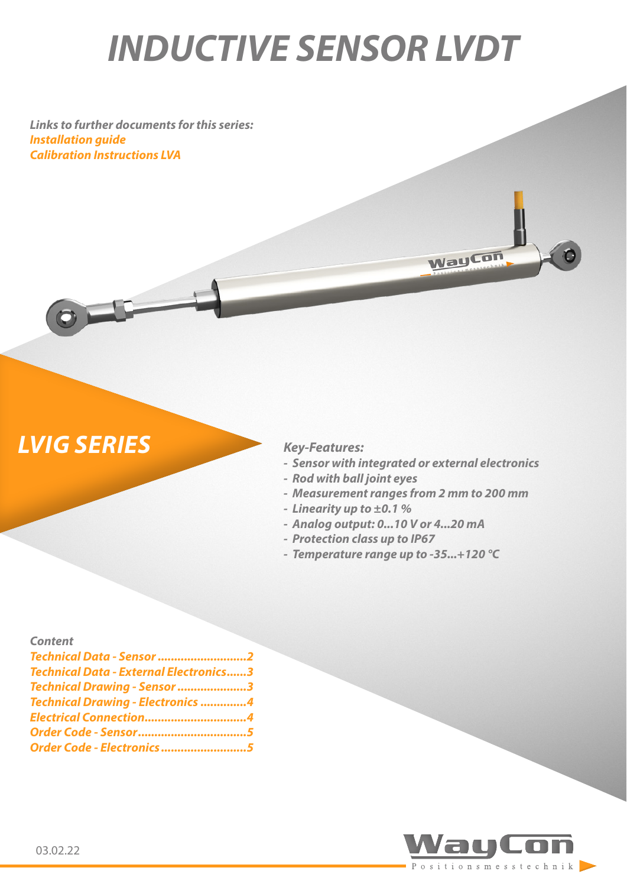# *INDUCTIVE SENSOR LVDT*

*Links to further documents for this series: [Installation guide](https://www.waycon.biz/fileadmin/inductive-sensors-lvdt/Inductive-Sensors-LVDT-Installation-Guide.pdf) [Calibration Instructions LVA](https://www.waycon.biz/fileadmin/inductive-sensors-lvdt/Inductive-Sensors-LVA-Calibration-Instructions.pdf)*

## *LVIG SERIES Key-Features:*

 $\circ$ 

*- Sensor with integrated or external electronics*

**WayCon** 

- *- Rod with ball joint eyes*
- *- Measurement ranges from 2 mm to 200 mm*
- *- Linearity up to ±0.1 %*
- *- Analog output: 0...10 V or 4...20 mA*
- *- Protection class up to IP67*
- *- Temperature range up to -35...+120 °C*

#### *Content*

| Technical Data - External Electronics3<br>Technical Drawing - Sensor 3<br>Technical Drawing - Electronics 4<br>Electrical Connection4<br>Order Code - Sensor5 | Technical Data - Sensor 2 |  |
|---------------------------------------------------------------------------------------------------------------------------------------------------------------|---------------------------|--|
|                                                                                                                                                               |                           |  |
|                                                                                                                                                               |                           |  |
|                                                                                                                                                               |                           |  |
|                                                                                                                                                               |                           |  |
|                                                                                                                                                               |                           |  |
| Order Code - Electronics 5                                                                                                                                    |                           |  |

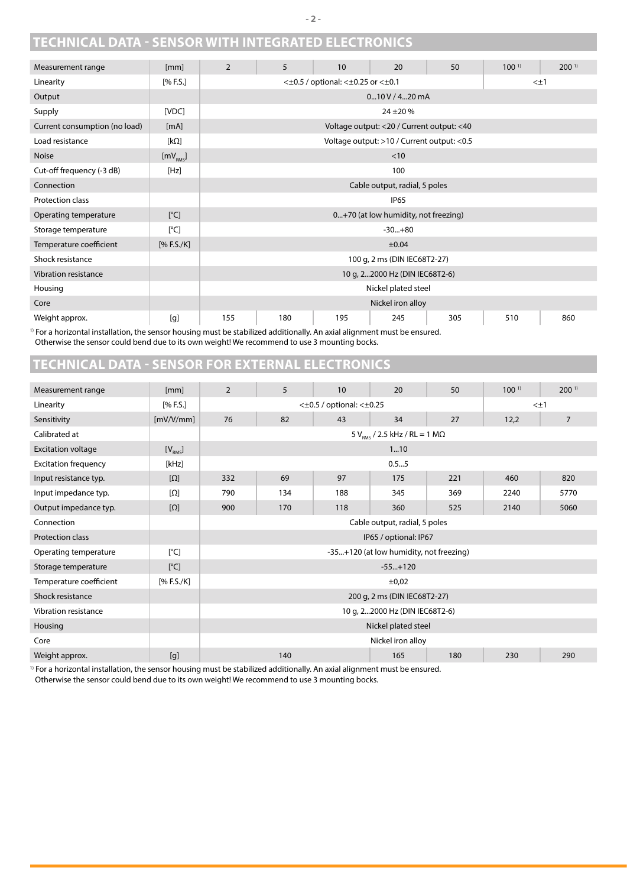#### <span id="page-1-0"></span>**TECHNICAL DATA - SENSOR WITH INTEGRATED ELECTRONICS**

| Measurement range                                                                                                         | [mm]                 | $\overline{2}$                                                | 5            | 10 | 20                                          | 50 | 100 <sup>1</sup> | 200 <sup>1</sup> |  |
|---------------------------------------------------------------------------------------------------------------------------|----------------------|---------------------------------------------------------------|--------------|----|---------------------------------------------|----|------------------|------------------|--|
| Linearity                                                                                                                 | [% F.S.]             | $<\pm 0.5$ / optional: $<\pm 0.25$ or $<\pm 0.1$<br>$< \pm 1$ |              |    |                                             |    |                  |                  |  |
| Output                                                                                                                    |                      |                                                               | 0m10V/4m20mA |    |                                             |    |                  |                  |  |
| Supply                                                                                                                    | [VDC]                |                                                               | $24 + 20%$   |    |                                             |    |                  |                  |  |
| Current consumption (no load)                                                                                             | [mA]                 |                                                               |              |    | Voltage output: < 20 / Current output: < 40 |    |                  |                  |  |
| Load resistance                                                                                                           | [ $k\Omega$ ]        |                                                               |              |    | Voltage output: >10 / Current output: <0.5  |    |                  |                  |  |
| <b>Noise</b>                                                                                                              | [mV <sub>RMS</sub> ] |                                                               |              |    | < 10                                        |    |                  |                  |  |
| Cut-off frequency (-3 dB)                                                                                                 | [Hz]                 |                                                               |              |    | 100                                         |    |                  |                  |  |
| Connection                                                                                                                |                      | Cable output, radial, 5 poles                                 |              |    |                                             |    |                  |                  |  |
| Protection class                                                                                                          |                      | <b>IP65</b>                                                   |              |    |                                             |    |                  |                  |  |
| Operating temperature                                                                                                     | [°C]                 | 0+70 (at low humidity, not freezing)                          |              |    |                                             |    |                  |                  |  |
| Storage temperature                                                                                                       | [°C]                 | $-30+80$                                                      |              |    |                                             |    |                  |                  |  |
| Temperature coefficient                                                                                                   | [% F.S./K]           | ±0.04                                                         |              |    |                                             |    |                  |                  |  |
| Shock resistance                                                                                                          |                      | 100 g, 2 ms (DIN IEC68T2-27)                                  |              |    |                                             |    |                  |                  |  |
| Vibration resistance                                                                                                      |                      | 10 g, 22000 Hz (DIN IEC68T2-6)                                |              |    |                                             |    |                  |                  |  |
| Housing                                                                                                                   |                      | Nickel plated steel                                           |              |    |                                             |    |                  |                  |  |
| Core                                                                                                                      |                      | Nickel iron alloy                                             |              |    |                                             |    |                  |                  |  |
| Weight approx.                                                                                                            | [g]                  | 155<br>180<br>195<br>245<br>510<br>860<br>305                 |              |    |                                             |    |                  |                  |  |
| I) For a horizontal inctallation, the concer houring must be stabilized additionally. An avial alignment must be encured. |                      |                                                               |              |    |                                             |    |                  |                  |  |

1) For a horizontal installation, the sensor housing must be stabilized additionally. An axial alignment must be ensured. Otherwise the sensor could bend due to its own weight! We recommend to use 3 mounting bocks.

#### **TECHNICAL DATA - SENSOR FOR EXTERNAL ELECTRONICS**

| Measurement range           | [mm]                   | $\overline{2}$                                  | 5   | 10  | 20                                               | 50  | 100 <sup>1</sup> | 200 <sup>1</sup> |
|-----------------------------|------------------------|-------------------------------------------------|-----|-----|--------------------------------------------------|-----|------------------|------------------|
| Linearity                   | [% F.S.]               | $<\pm 0.5$ / optional: $<\pm 0.25$<br>$< \pm 1$ |     |     |                                                  |     |                  |                  |
| Sensitivity                 | [mV/V/mm]              | 76                                              | 82  | 43  | 34                                               | 27  | 12,2             | $\overline{7}$   |
| Calibrated at               |                        |                                                 |     |     | $5 V_{\text{RMS}}$ / 2.5 kHz / RL = 1 M $\Omega$ |     |                  |                  |
| <b>Excitation voltage</b>   | $[V_{RMS}]$            |                                                 |     |     | 110                                              |     |                  |                  |
| <b>Excitation frequency</b> | [kHz]                  |                                                 |     |     | 0.55                                             |     |                  |                  |
| Input resistance typ.       | $[\Omega]$             | 332                                             | 69  | 97  | 175                                              | 221 | 460              | 820              |
| Input impedance typ.        | $\lceil \Omega \rceil$ | 790                                             | 134 | 188 | 345                                              | 369 | 2240             | 5770             |
| Output impedance typ.       | $[\Omega]$             | 900                                             | 170 | 118 | 360                                              | 525 | 2140             | 5060             |
| Connection                  |                        | Cable output, radial, 5 poles                   |     |     |                                                  |     |                  |                  |
| <b>Protection class</b>     |                        | IP65 / optional: IP67                           |     |     |                                                  |     |                  |                  |
| Operating temperature       | [°C]                   | -35+120 (at low humidity, not freezing)         |     |     |                                                  |     |                  |                  |
| Storage temperature         | [°C]                   | $-55+120$                                       |     |     |                                                  |     |                  |                  |
| Temperature coefficient     | [% F.S./K]             | $\pm 0.02$                                      |     |     |                                                  |     |                  |                  |
| Shock resistance            |                        | 200 g, 2 ms (DIN IEC68T2-27)                    |     |     |                                                  |     |                  |                  |
| Vibration resistance        |                        | 10 g, 22000 Hz (DIN IEC68T2-6)                  |     |     |                                                  |     |                  |                  |
| Housing                     |                        | Nickel plated steel                             |     |     |                                                  |     |                  |                  |
| Core                        |                        | Nickel iron alloy                               |     |     |                                                  |     |                  |                  |
| Weight approx.              | [g]                    |                                                 | 140 |     | 165                                              | 180 | 230              | 290              |

<sup>1)</sup> For a horizontal installation, the sensor housing must be stabilized additionally. An axial alignment must be ensured. Otherwise the sensor could bend due to its own weight! We recommend to use 3 mounting bocks.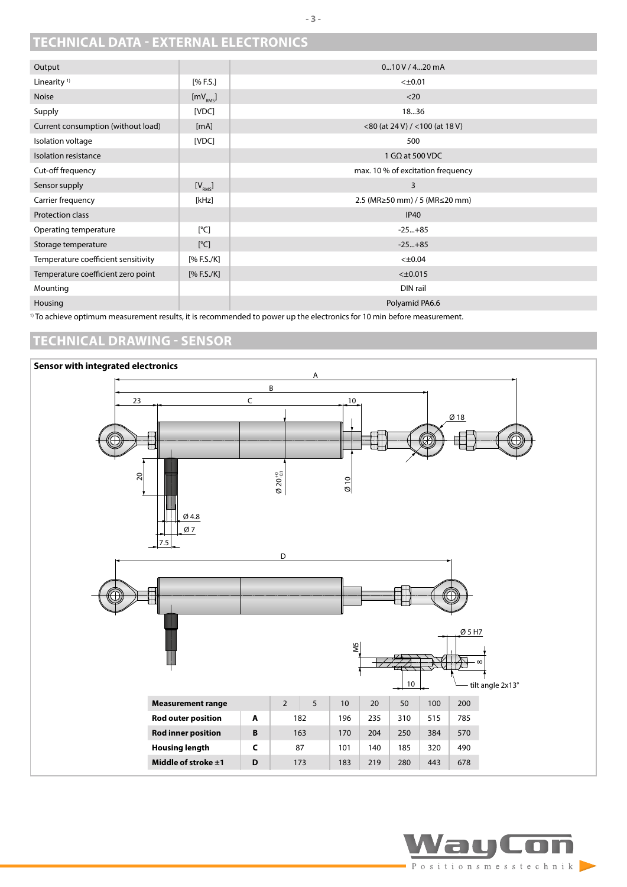#### <span id="page-2-0"></span>**TECHNICAL DATA - EXTERNAL ELECTRONICS**

| Output                              |                      | 0m10V/4m20mA                         |
|-------------------------------------|----------------------|--------------------------------------|
| Linearity <sup>1)</sup>             | [% F.S.]             | $< \pm 0.01$                         |
| <b>Noise</b>                        | [mV <sub>RMS</sub> ] | $<$ 20                               |
| Supply                              | [VDC]                | 1836                                 |
| Current consumption (without load)  | [mA]                 | $<$ 80 (at 24 V) / $<$ 100 (at 18 V) |
| Isolation voltage                   | [VDC]                | 500                                  |
| Isolation resistance                |                      | 1 G $\Omega$ at 500 VDC              |
| Cut-off frequency                   |                      | max. 10 % of excitation frequency    |
| Sensor supply                       | [V <sub>RMS</sub> ]  | 3                                    |
| Carrier frequency                   | [kHz]                | 2.5 (MR≥50 mm) / 5 (MR≤20 mm)        |
| Protection class                    |                      | <b>IP40</b>                          |
| Operating temperature               | [°C]                 | $-25+85$                             |
| Storage temperature                 | [°C]                 | $-25+85$                             |
| Temperature coefficient sensitivity | [% F.S./K]           | $< \pm 0.04$                         |
| Temperature coefficient zero point  | [% F.S./K]           | $<\pm 0.015$                         |
| Mounting                            |                      | DIN rail                             |
| Housing                             |                      | Polyamid PA6.6                       |

<sup>1)</sup> To achieve optimum measurement results, it is recommended to power up the electronics for 10 min before measurement.

#### **TECHNICAL DRAWING - SENSOR**



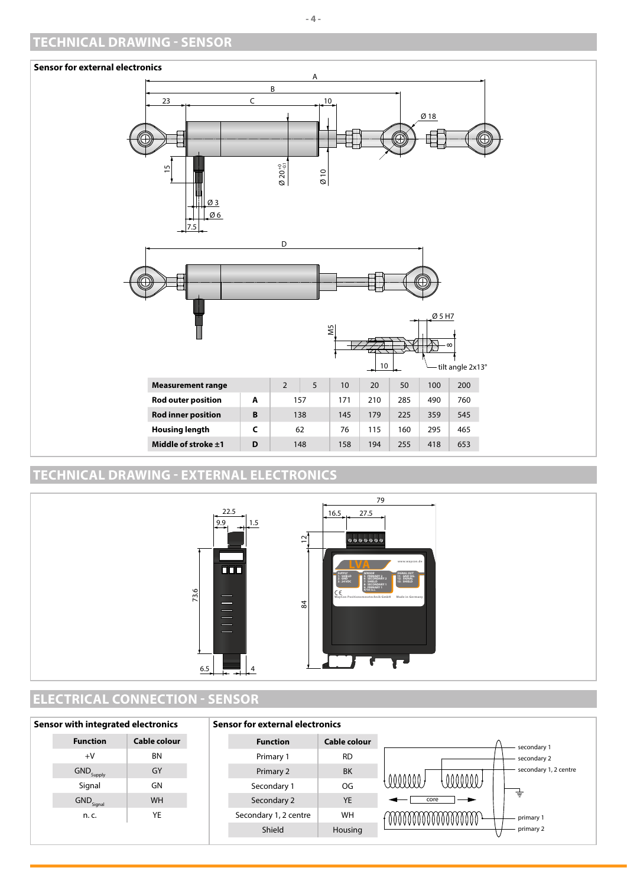#### <span id="page-3-0"></span>**TECHNICAL DRAWING - SENSOR**



#### **TECHNICAL DRAWING - EXTERNAL ELECTRONICS**



#### **ELECTRICAL CONNECTION - SENSOR**

| Sensor with integrated electronics |                                | <b>Sensor for external electronics</b> |                       |              |                                 |
|------------------------------------|--------------------------------|----------------------------------------|-----------------------|--------------|---------------------------------|
|                                    | <b>Function</b>                | Cable colour                           | <b>Function</b>       | Cable colour | secondary 1                     |
|                                    | $+V$                           | <b>BN</b>                              | Primary 1             | <b>RD</b>    | secondary 2                     |
|                                    | $\mathsf{GND}_\mathsf{Supply}$ | GY                                     | Primary 2             | BK           | secondary 1, 2 centre           |
|                                    | Signal                         | GN                                     | Secondary 1           | OG           | 0000000<br>unn                  |
|                                    | $\mathsf{GND}_\mathsf{Signal}$ | <b>WH</b>                              | Secondary 2           | <b>YE</b>    | 专<br>core                       |
|                                    | n. c.                          | YE                                     | Secondary 1, 2 centre | WH           | 000000000000000000<br>primary 1 |
|                                    |                                |                                        | Shield                | Housing      | primary 2                       |